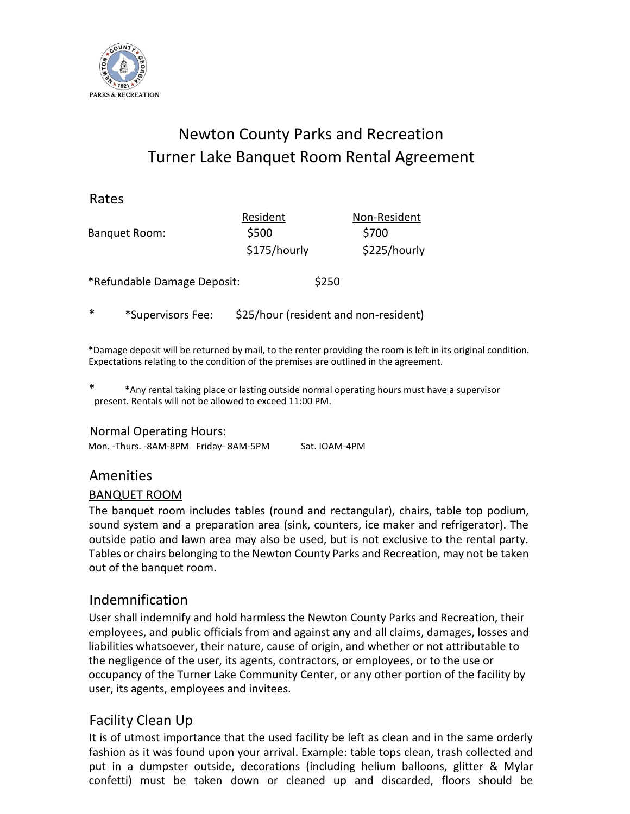

# Newton County Parks and Recreation Turner Lake Banquet Room Rental Agreement

Rates

| Resident     |       | Non-Resident |
|--------------|-------|--------------|
| \$500        |       | \$700        |
| \$175/hourly |       | \$225/hourly |
|              | \$250 |              |
|              |       |              |

\* \*Supervisors Fee: \$25/hour (resident and non-resident)

\*Damage deposit will be returned by mail, to the renter providing the room is left in its original condition. Expectations relating to the condition of the premises are outlined in the agreement.

\* \*Any rental taking place or lasting outside normal operating hours must have a supervisor present. Rentals will not be allowed to exceed 11:00 PM.

### Normal Operating Hours:

| Mon. -Thurs. - 8AM-8PM Friday-8AM-5PM | Sat. IOAM-4PM |
|---------------------------------------|---------------|
|                                       |               |

### Amenities

### BANQUET ROOM

The banquet room includes tables (round and rectangular), chairs, table top podium, sound system and a preparation area (sink, counters, ice maker and refrigerator). The outside patio and lawn area may also be used, but is not exclusive to the rental party. Tables or chairs belonging to the Newton County Parks and Recreation, may not be taken out of the banquet room.

# Indemnification

User shall indemnify and hold harmless the Newton County Parks and Recreation, their employees, and public officials from and against any and all claims, damages, losses and liabilities whatsoever, their nature, cause of origin, and whether or not attributable to the negligence of the user, its agents, contractors, or employees, or to the use or occupancy of the Turner Lake Community Center, or any other portion of the facility by user, its agents, employees and invitees.

# Facility Clean Up

It is of utmost importance that the used facility be left as clean and in the same orderly fashion as it was found upon your arrival. Example: table tops clean, trash collected and put in a dumpster outside, decorations (including helium balloons, glitter & Mylar confetti) must be taken down or cleaned up and discarded, floors should be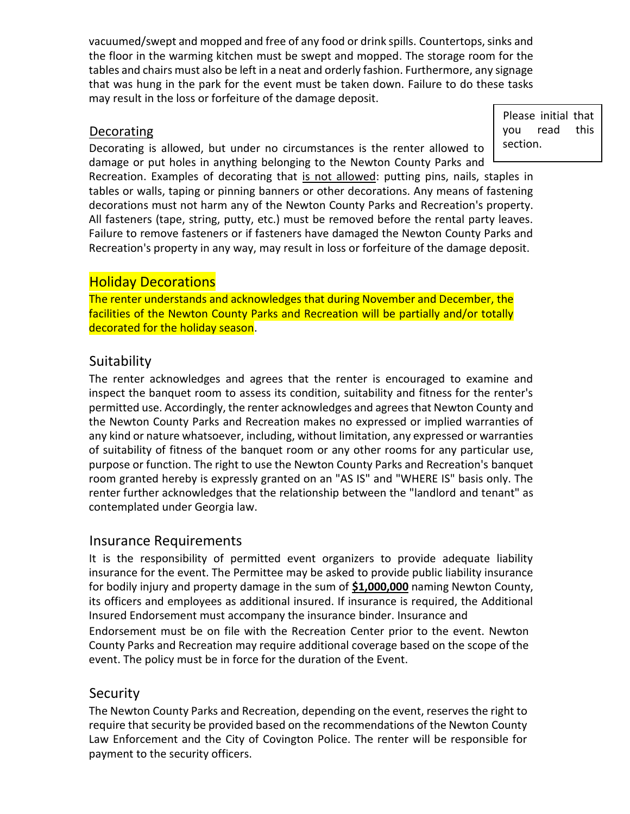vacuumed/swept and mopped and free of any food or drink spills. Countertops, sinks and the floor in the warming kitchen must be swept and mopped. The storage room for the tables and chairs must also be left in a neat and orderly fashion. Furthermore, any signage that was hung in the park for the event must be taken down. Failure to do these tasks may result in the loss or forfeiture of the damage deposit.

### **Decorating**

Decorating is allowed, but under no circumstances is the renter allowed to damage or put holes in anything belonging to the Newton County Parks and

Please initial that you read this section.

Recreation. Examples of decorating that is not allowed: putting pins, nails, staples in tables or walls, taping or pinning banners or other decorations. Any means of fastening decorations must not harm any of the Newton County Parks and Recreation's property. All fasteners (tape, string, putty, etc.) must be removed before the rental party leaves. Failure to remove fasteners or if fasteners have damaged the Newton County Parks and Recreation's property in any way, may result in loss or forfeiture of the damage deposit.

### Holiday Decorations

The renter understands and acknowledges that during November and December, the facilities of the Newton County Parks and Recreation will be partially and/or totally decorated for the holiday season.

## Suitability

The renter acknowledges and agrees that the renter is encouraged to examine and inspect the banquet room to assess its condition, suitability and fitness for the renter's permitted use. Accordingly, the renter acknowledges and agrees that Newton County and the Newton County Parks and Recreation makes no expressed or implied warranties of any kind or nature whatsoever, including, without limitation, any expressed or warranties of suitability of fitness of the banquet room or any other rooms for any particular use, purpose or function. The right to use the Newton County Parks and Recreation's banquet room granted hereby is expressly granted on an "AS IS" and "WHERE IS" basis only. The renter further acknowledges that the relationship between the "landlord and tenant" as contemplated under Georgia law.

### Insurance Requirements

It is the responsibility of permitted event organizers to provide adequate liability insurance for the event. The Permittee may be asked to provide public liability insurance for bodily injury and property damage in the sum of **\$1,000,000** naming Newton County, its officers and employees as additional insured. If insurance is required, the Additional Insured Endorsement must accompany the insurance binder. Insurance and

Endorsement must be on file with the Recreation Center prior to the event. Newton County Parks and Recreation may require additional coverage based on the scope of the event. The policy must be in force for the duration of the Event.

## **Security**

The Newton County Parks and Recreation, depending on the event, reserves the right to require that security be provided based on the recommendations of the Newton County Law Enforcement and the City of Covington Police. The renter will be responsible for payment to the security officers.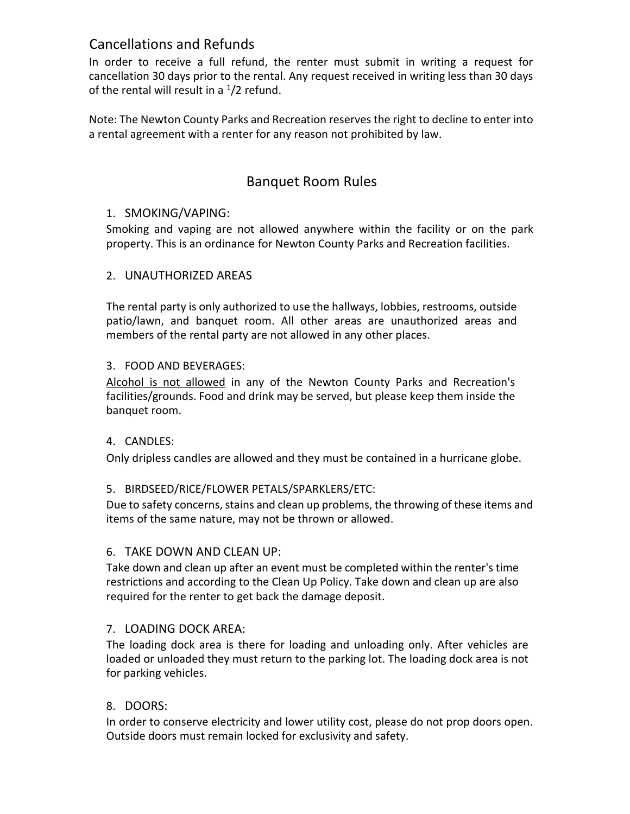## Cancellations and Refunds

In order to receive a full refund, the renter must submit in writing a request for cancellation 30 days prior to the rental. Any request received in writing less than 30 days of the rental will result in a  $1/2$  refund.

Note: The Newton County Parks and Recreation reserves the right to decline to enter into a rental agreement with a renter for any reason not prohibited by law.

# Banquet Room Rules

### 1. SMOKING/VAPING:

Smoking and vaping are not allowed anywhere within the facility or on the park property. This is an ordinance for Newton County Parks and Recreation facilities.

### 2. UNAUTHORIZED AREAS

The rental party is only authorized to use the hallways, lobbies, restrooms, outside patio/lawn, and banquet room. All other areas are unauthorized areas and members of the rental party are not allowed in any other places.

### 3. FOOD AND BEVERAGES:

Alcohol is not allowed in any of the Newton County Parks and Recreation's facilities/grounds. Food and drink may be served, but please keep them inside the banquet room.

### 4. CANDLES:

Only dripless candles are allowed and they must be contained in a hurricane globe.

### 5. BIRDSEED/RICE/FLOWER PETALS/SPARKLERS/ETC:

Due to safety concerns, stains and clean up problems, the throwing of these items and items of the same nature, may not be thrown or allowed.

### 6. TAKE DOWN AND CLEAN UP:

Take down and clean up after an event must be completed within the renter's time restrictions and according to the Clean Up Policy. Take down and clean up are also required for the renter to get back the damage deposit.

### 7. LOADING DOCK AREA:

The loading dock area is there for loading and unloading only. After vehicles are loaded or unloaded they must return to the parking lot. The loading dock area is not for parking vehicles.

### 8. DOORS:

In order to conserve electricity and lower utility cost, please do not prop doors open. Outside doors must remain locked for exclusivity and safety.